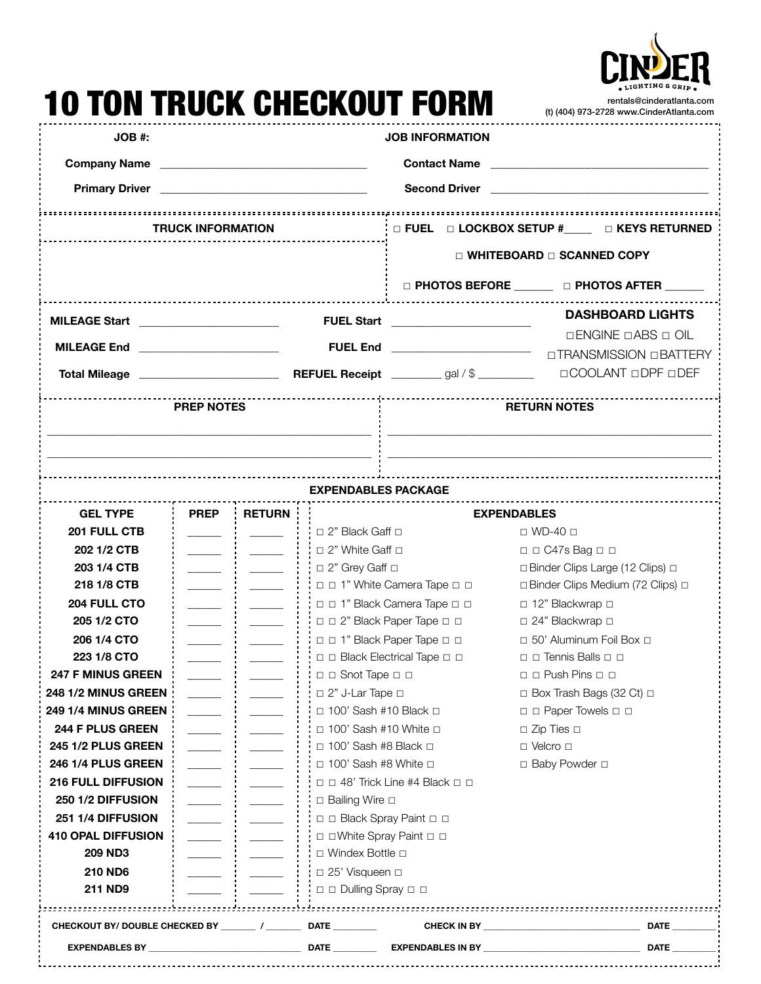

|                                         |                          |                             |                                                                                                                       | TUN TRUGK GHEGKUUT FORM                                                                                                | rentals@cinderatlanta.com<br>(t) (404) 973-2728 www.CinderAtlanta.com |  |  |  |  |
|-----------------------------------------|--------------------------|-----------------------------|-----------------------------------------------------------------------------------------------------------------------|------------------------------------------------------------------------------------------------------------------------|-----------------------------------------------------------------------|--|--|--|--|
| $JOB$ #:                                |                          |                             |                                                                                                                       | <b>JOB INFORMATION</b>                                                                                                 |                                                                       |  |  |  |  |
| <b>Company Name</b>                     |                          |                             | <u> 1989 - Johann Barn, mars and de Branch Barn, mars and de Branch Barn, mars and de Branch Barn, mars and de Br</u> |                                                                                                                        |                                                                       |  |  |  |  |
|                                         |                          |                             |                                                                                                                       |                                                                                                                        |                                                                       |  |  |  |  |
|                                         |                          |                             |                                                                                                                       |                                                                                                                        |                                                                       |  |  |  |  |
|                                         | <b>TRUCK INFORMATION</b> |                             |                                                                                                                       | $\frac{1}{2}$ $\Box$ FUEL $\Box$ LOCKBOX SETUP # $\Box$ $\Box$ KEYS RETURNED                                           |                                                                       |  |  |  |  |
|                                         |                          |                             |                                                                                                                       | $\Box$ WHITEBOARD $\Box$ SCANNED COPY                                                                                  |                                                                       |  |  |  |  |
|                                         |                          |                             |                                                                                                                       |                                                                                                                        | □ PHOTOS BEFORE _______ □ PHOTOS AFTER ______                         |  |  |  |  |
| MILEAGE Start _________________________ |                          |                             | <b>FUEL Start</b>                                                                                                     | <u> 1980 - Andrea Albert III, martin amerikan basal dan berasal dalam basal dalam basal dalam basal dalam basal da</u> | <b>DASHBOARD LIGHTS</b>                                               |  |  |  |  |
| <b>MILEAGE End</b>                      |                          |                             | <b>FUEL End</b>                                                                                                       |                                                                                                                        | □ ENGINE □ ABS □ OIL                                                  |  |  |  |  |
|                                         |                          |                             |                                                                                                                       |                                                                                                                        | UTRANSMISSION OBATTERY                                                |  |  |  |  |
|                                         |                          |                             |                                                                                                                       |                                                                                                                        | □COOLANT □DPF □DEF                                                    |  |  |  |  |
|                                         | <b>PREP NOTES</b>        |                             |                                                                                                                       | <b>RETURN NOTES</b>                                                                                                    |                                                                       |  |  |  |  |
|                                         |                          |                             |                                                                                                                       |                                                                                                                        |                                                                       |  |  |  |  |
|                                         |                          |                             | <b>EXPENDABLES PACKAGE</b>                                                                                            |                                                                                                                        |                                                                       |  |  |  |  |
| <b>GEL TYPE</b><br>201 FULL CTB         | <b>PREP</b>              | <b>RETURN</b>               |                                                                                                                       |                                                                                                                        | <b>EXPENDABLES</b><br>$\Box$ WD-40 $\Box$                             |  |  |  |  |
| 202 1/2 CTB                             |                          |                             | $\Box$ 2" Black Gaff $\Box$<br>□ 2" White Gaff □                                                                      |                                                                                                                        | $\Box$ $\Box$ $CA7s$ $Baq$ $\Box$                                     |  |  |  |  |
| 203 1/4 CTB                             |                          | $\sim 10^{11}$ mass $^{-1}$ | $\Box$ 2" Grey Gaff $\Box$                                                                                            |                                                                                                                        | □ Binder Clips Large (12 Clips) □                                     |  |  |  |  |
| 218 1/8 CTB                             | $\overline{\phantom{a}}$ |                             |                                                                                                                       | □ □ 1" White Camera Tape □ □                                                                                           | □ Binder Clips Medium (72 Clips) □                                    |  |  |  |  |
| 204 FULL CTO                            | $\sim$                   |                             |                                                                                                                       | □ □ 1" Black Camera Tape □ □                                                                                           | □ 12" Blackwrap □                                                     |  |  |  |  |
| 205 1/2 CTO                             |                          |                             |                                                                                                                       | □ □ 2" Black Paper Tape □ □                                                                                            | □ 24" Blackwrap □                                                     |  |  |  |  |
| 206 1/4 CTO                             |                          |                             | □ □ 1" Black Paper Tape □ □                                                                                           |                                                                                                                        | □ 50' Aluminum Foil Box □                                             |  |  |  |  |
| 223 1/8 CTO                             |                          |                             |                                                                                                                       | □ □ Black Electrical Tape □ □                                                                                          | $\Box$ $\Box$ Tennis Balls $\Box$ $\Box$                              |  |  |  |  |
| <b>247 F MINUS GREEN</b>                |                          |                             | □ □ Snot Tape □ □                                                                                                     |                                                                                                                        | $\Box$ $\Box$ Push Pins $\Box$ $\Box$                                 |  |  |  |  |
| 248 1/2 MINUS GREEN                     |                          |                             | □ 2" J-Lar Tape □                                                                                                     |                                                                                                                        | □ Box Trash Bags (32 Ct) □                                            |  |  |  |  |
| 249 1/4 MINUS GREEN                     |                          |                             | $\Box$ 100' Sash #10 Black $\Box$                                                                                     |                                                                                                                        | □ □ Paper Towels □ □                                                  |  |  |  |  |
| 244 F PLUS GREEN                        |                          |                             | $\Box$ 100' Sash #10 White $\Box$                                                                                     |                                                                                                                        | $\Box$ Zip Ties $\Box$                                                |  |  |  |  |
| 245 1/2 PLUS GREEN                      | $\overline{\phantom{a}}$ |                             | $\Box$ 100' Sash #8 Black $\Box$                                                                                      |                                                                                                                        | $\Box$ Velcro $\Box$                                                  |  |  |  |  |
| <b>246 1/4 PLUS GREEN</b>               |                          |                             | $\Box$ 100' Sash #8 White $\Box$                                                                                      |                                                                                                                        | □ Baby Powder □                                                       |  |  |  |  |
| <b>216 FULL DIFFUSION</b>               |                          |                             |                                                                                                                       | $\Box$ $\Box$ 48' Trick Line #4 Black $\Box$ $\Box$                                                                    |                                                                       |  |  |  |  |
| 250 1/2 DIFFUSION                       |                          |                             | □ Bailing Wire □                                                                                                      |                                                                                                                        |                                                                       |  |  |  |  |
| 251 1/4 DIFFUSION                       |                          |                             | □ □ Black Spray Paint □ □                                                                                             |                                                                                                                        |                                                                       |  |  |  |  |
| <b>410 OPAL DIFFUSION</b>               | $\overline{\phantom{a}}$ |                             | □ □ White Spray Paint □ □                                                                                             |                                                                                                                        |                                                                       |  |  |  |  |
| <b>209 ND3</b>                          |                          |                             | □ Windex Bottle □                                                                                                     |                                                                                                                        |                                                                       |  |  |  |  |
| <b>210 ND6</b>                          |                          |                             | □ 25' Visqueen □                                                                                                      |                                                                                                                        |                                                                       |  |  |  |  |
| 211 ND9                                 |                          |                             | □ □ Dulling Spray □ □                                                                                                 |                                                                                                                        |                                                                       |  |  |  |  |
|                                         |                          |                             |                                                                                                                       |                                                                                                                        |                                                                       |  |  |  |  |
|                                         |                          |                             | <b>DATE</b> _________                                                                                                 |                                                                                                                        | <b>DATE</b>                                                           |  |  |  |  |

**EAN ERHAL AUFAI/AUF FARM** 

**EXPENDABLES BY \_\_\_\_\_\_\_\_\_\_\_\_\_\_\_\_\_\_\_\_\_\_\_\_\_\_\_\_\_\_\_\_\_\_\_ DATE \_\_\_\_\_\_\_\_\_\_ EXPENDABLES IN BY \_\_\_\_\_\_\_\_\_\_\_\_\_\_\_\_\_\_\_\_\_\_\_\_\_\_\_\_\_\_\_\_\_\_\_\_ DATE \_\_\_\_\_\_\_\_\_\_**